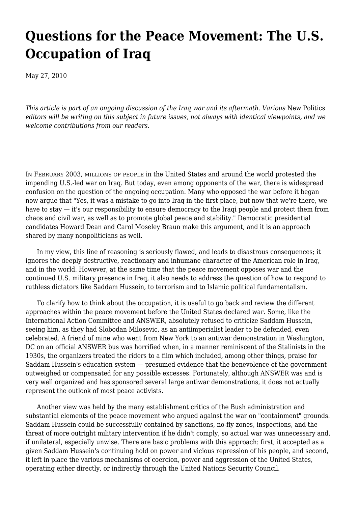# **[Questions for the Peace Movement: The U.S.](https://newpol.org/issue_post/questions-peace-movement-us-occupation-iraq/) [Occupation of Iraq](https://newpol.org/issue_post/questions-peace-movement-us-occupation-iraq/)**

May 27, 2010

*This article is part of an ongoing discussion of the Iraq war and its aftermath. Various* New Politics *editors will be writing on this subject in future issues, not always with identical viewpoints, and we welcome contributions from our readers.*

IN FEBRUARY 2003, MILLIONS OF PEOPLE in the United States and around the world protested the impending U.S.-led war on Iraq. But today, even among opponents of the war, there is widespread confusion on the question of the ongoing occupation. Many who opposed the war before it began now argue that "Yes, it was a mistake to go into Iraq in the first place, but now that we're there, we have to stay — it's our responsibility to ensure democracy to the Iraqi people and protect them from chaos and civil war, as well as to promote global peace and stability." Democratic presidential candidates Howard Dean and Carol Moseley Braun make this argument, and it is an approach shared by many nonpoliticians as well.

 In my view, this line of reasoning is seriously flawed, and leads to disastrous consequences; it ignores the deeply destructive, reactionary and inhumane character of the American role in Iraq, and in the world. However, at the same time that the peace movement opposes war and the continued U.S. military presence in Iraq, it also needs to address the question of how to respond to ruthless dictators like Saddam Hussein, to terrorism and to Islamic political fundamentalism.

 To clarify how to think about the occupation, it is useful to go back and review the different approaches within the peace movement before the United States declared war. Some, like the International Action Committee and ANSWER, absolutely refused to criticize Saddam Hussein, seeing him, as they had Slobodan Milosevic, as an antiimperialist leader to be defended, even celebrated. A friend of mine who went from New York to an antiwar demonstration in Washington, DC on an official ANSWER bus was horrified when, in a manner reminiscent of the Stalinists in the 1930s, the organizers treated the riders to a film which included, among other things, praise for Saddam Hussein's education system — presumed evidence that the benevolence of the government outweighed or compensated for any possible excesses. Fortunately, although ANSWER was and is very well organized and has sponsored several large antiwar demonstrations, it does not actually represent the outlook of most peace activists.

 Another view was held by the many establishment critics of the Bush administration and substantial elements of the peace movement who argued against the war on "containment" grounds. Saddam Hussein could be successfully contained by sanctions, no-fly zones, inspections, and the threat of more outright military intervention if he didn't comply, so actual war was unnecessary and, if unilateral, especially unwise. There are basic problems with this approach: first, it accepted as a given Saddam Hussein's continuing hold on power and vicious repression of his people, and second, it left in place the various mechanisms of coercion, power and aggression of the United States, operating either directly, or indirectly through the United Nations Security Council.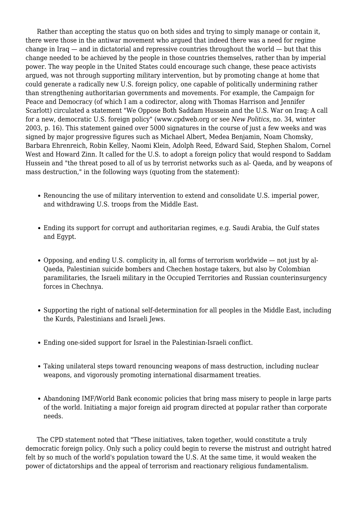Rather than accepting the status quo on both sides and trying to simply manage or contain it. there were those in the antiwar movement who argued that indeed there was a need for regime change in Iraq  $-$  and in dictatorial and repressive countries throughout the world  $-$  but that this change needed to be achieved by the people in those countries themselves, rather than by imperial power. The way people in the United States could encourage such change, these peace activists argued, was not through supporting military intervention, but by promoting change at home that could generate a radically new U.S. foreign policy, one capable of politically undermining rather than strengthening authoritarian governments and movements. For example, the Campaign for Peace and Democracy (of which I am a codirector, along with Thomas Harrison and Jennifer Scarlott) circulated a statement "We Oppose Both Saddam Hussein and the U.S. War on Iraq: A call for a new, democratic U.S. foreign policy" (www.cpdweb.org or see *New Politics*, no. 34, winter 2003, p. 16). This statement gained over 5000 signatures in the course of just a few weeks and was signed by major progressive figures such as Michael Albert, Medea Benjamin, Noam Chomsky, Barbara Ehrenreich, Robin Kelley, Naomi Klein, Adolph Reed, Edward Said, Stephen Shalom, Cornel West and Howard Zinn. It called for the U.S. to adopt a foreign policy that would respond to Saddam Hussein and "the threat posed to all of us by terrorist networks such as al- Qaeda, and by weapons of mass destruction," in the following ways (quoting from the statement):

- Renouncing the use of military intervention to extend and consolidate U.S. imperial power, and withdrawing U.S. troops from the Middle East.
- Ending its support for corrupt and authoritarian regimes, e.g. Saudi Arabia, the Gulf states and Egypt.
- Opposing, and ending U.S. complicity in, all forms of terrorism worldwide not just by al-Qaeda, Palestinian suicide bombers and Chechen hostage takers, but also by Colombian paramilitaries, the Israeli military in the Occupied Territories and Russian counterinsurgency forces in Chechnya.
- Supporting the right of national self-determination for all peoples in the Middle East, including the Kurds, Palestinians and Israeli Jews.
- Ending one-sided support for Israel in the Palestinian-Israeli conflict.
- Taking unilateral steps toward renouncing weapons of mass destruction, including nuclear weapons, and vigorously promoting international disarmament treaties.
- Abandoning IMF/World Bank economic policies that bring mass misery to people in large parts of the world. Initiating a major foreign aid program directed at popular rather than corporate needs.

 The CPD statement noted that "These initiatives, taken together, would constitute a truly democratic foreign policy. Only such a policy could begin to reverse the mistrust and outright hatred felt by so much of the world's population toward the U.S. At the same time, it would weaken the power of dictatorships and the appeal of terrorism and reactionary religious fundamentalism.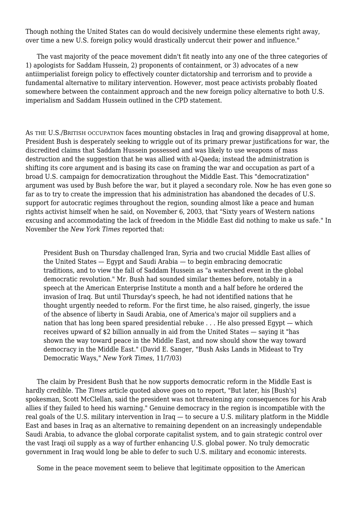Though nothing the United States can do would decisively undermine these elements right away. over time a new U.S. foreign policy would drastically undercut their power and influence."

 The vast majority of the peace movement didn't fit neatly into any one of the three categories of 1) apologists for Saddam Hussein, 2) proponents of containment, or 3) advocates of a new antiimperialist foreign policy to effectively counter dictatorship and terrorism and to provide a fundamental alternative to military intervention. However, most peace activists probably floated somewhere between the containment approach and the new foreign policy alternative to both U.S. imperialism and Saddam Hussein outlined in the CPD statement.

AS THE U.S./BRITISH OCCUPATION faces mounting obstacles in Iraq and growing disapproval at home, President Bush is desperately seeking to wriggle out of its primary prewar justifications for war, the discredited claims that Saddam Hussein possessed and was likely to use weapons of mass destruction and the suggestion that he was allied with al-Qaeda; instead the administration is shifting its core argument and is basing its case on framing the war and occupation as part of a broad U.S. campaign for democratization throughout the Middle East. This "democratization" argument was used by Bush before the war, but it played a secondary role. Now he has even gone so far as to try to create the impression that his administration has abandoned the decades of U.S. support for autocratic regimes throughout the region, sounding almost like a peace and human rights activist himself when he said, on November 6, 2003, that "Sixty years of Western nations excusing and accommodating the lack of freedom in the Middle East did nothing to make us safe." In November the *New York Times* reported that:

President Bush on Thursday challenged Iran, Syria and two crucial Middle East allies of the United States — Egypt and Saudi Arabia — to begin embracing democratic traditions, and to view the fall of Saddam Hussein as "a watershed event in the global democratic revolution." Mr. Bush had sounded similar themes before, notably in a speech at the American Enterprise Institute a month and a half before he ordered the invasion of Iraq. But until Thursday's speech, he had not identified nations that he thought urgently needed to reform. For the first time, he also raised, gingerly, the issue of the absence of liberty in Saudi Arabia, one of America's major oil suppliers and a nation that has long been spared presidential rebuke . . . He also pressed Egypt — which receives upward of \$2 billion annually in aid from the United States — saying it "has shown the way toward peace in the Middle East, and now should show the way toward democracy in the Middle East." (David E. Sanger, "Bush Asks Lands in Mideast to Try Democratic Ways," *New York Times*, 11/7/03)

 The claim by President Bush that he now supports democratic reform in the Middle East is hardly credible. The *Times* article quoted above goes on to report, "But later, his [Bush's] spokesman, Scott McClellan, said the president was not threatening any consequences for his Arab allies if they failed to heed his warning." Genuine democracy in the region is incompatible with the real goals of the U.S. military intervention in Iraq — to secure a U.S. military platform in the Middle East and bases in Iraq as an alternative to remaining dependent on an increasingly undependable Saudi Arabia, to advance the global corporate capitalist system, and to gain strategic control over the vast Iraqi oil supply as a way of further enhancing U.S. global power. No truly democratic government in Iraq would long be able to defer to such U.S. military and economic interests.

Some in the peace movement seem to believe that legitimate opposition to the American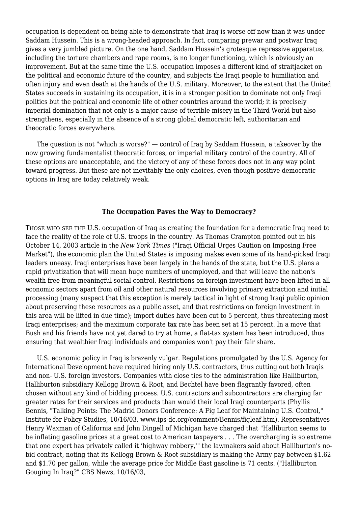occupation is dependent on being able to demonstrate that Iraq is worse off now than it was under Saddam Hussein. This is a wrong-headed approach. In fact, comparing prewar and postwar Iraq gives a very jumbled picture. On the one hand, Saddam Hussein's grotesque repressive apparatus, including the torture chambers and rape rooms, is no longer functioning, which is obviously an improvement. But at the same time the U.S. occupation imposes a different kind of straitjacket on the political and economic future of the country, and subjects the Iraqi people to humiliation and often injury and even death at the hands of the U.S. military. Moreover, to the extent that the United States succeeds in sustaining its occupation, it is in a stronger position to dominate not only Iraqi politics but the political and economic life of other countries around the world; it is precisely imperial domination that not only is a major cause of terrible misery in the Third World but also strengthens, especially in the absence of a strong global democratic left, authoritarian and theocratic forces everywhere.

 The question is not "which is worse?" — control of Iraq by Saddam Hussein, a takeover by the now growing fundamentalist theocratic forces, or imperial military control of the country. All of these options are unacceptable, and the victory of any of these forces does not in any way point toward progress. But these are not inevitably the only choices, even though positive democratic options in Iraq are today relatively weak.

#### **The Occupation Paves the Way to Democracy?**

THOSE WHO SEE THE U.S. occupation of Iraq as creating the foundation for a democratic Iraq need to face the reality of the role of U.S. troops in the country. As Thomas Crampton pointed out in his October 14, 2003 article in the *New York Times* ("Iraqi Official Urges Caution on Imposing Free Market"), the economic plan the United States is imposing makes even some of its hand-picked Iraqi leaders uneasy. Iraqi enterprises have been largely in the hands of the state, but the U.S. plans a rapid privatization that will mean huge numbers of unemployed, and that will leave the nation's wealth free from meaningful social control. Restrictions on foreign investment have been lifted in all economic sectors apart from oil and other natural resources involving primary extraction and initial processing (many suspect that this exception is merely tactical in light of strong Iraqi public opinion about preserving these resources as a public asset, and that restrictions on foreign investment in this area will be lifted in due time); import duties have been cut to 5 percent, thus threatening most Iraqi enterprises; and the maximum corporate tax rate has been set at 15 percent. In a move that Bush and his friends have not yet dared to try at home, a flat-tax system has been introduced, thus ensuring that wealthier Iraqi individuals and companies won't pay their fair share.

 U.S. economic policy in Iraq is brazenly vulgar. Regulations promulgated by the U.S. Agency for International Development have required hiring only U.S. contractors, thus cutting out both Iraqis and non- U.S. foreign investors. Companies with close ties to the administration like Halliburton, Halliburton subsidiary Kellogg Brown & Root, and Bechtel have been flagrantly favored, often chosen without any kind of bidding process. U.S. contractors and subcontractors are charging far greater rates for their services and products than would their local Iraqi counterparts (Phyllis Bennis, "Talking Points: The Madrid Donors Conference: A Fig Leaf for Maintaining U.S. Control," Institute for Policy Studies, 10/16/03, www.ips-dc.org/comment/Bennis/figleaf.htm). Representatives Henry Waxman of California and John Dingell of Michigan have charged that "Halliburton seems to be inflating gasoline prices at a great cost to American taxpayers . . . The overcharging is so extreme that one expert has privately called it 'highway robbery,'" the lawmakers said about Halliburton's nobid contract, noting that its Kellogg Brown & Root subsidiary is making the Army pay between \$1.62 and \$1.70 per gallon, while the average price for Middle East gasoline is 71 cents. ("Halliburton Gouging In Iraq?" CBS News, 10/16/03,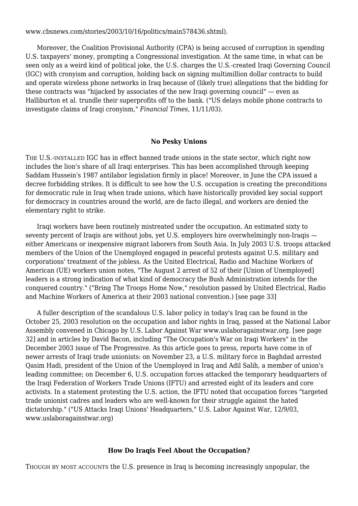www.cbsnews.com/stories/2003/10/16/politics/main578436.shtml).

 Moreover, the Coalition Provisional Authority (CPA) is being accused of corruption in spending U.S. taxpayers' money, prompting a Congressional investigation. At the same time, in what can be seen only as a weird kind of political joke, the U.S. charges the U.S.-created Iraqi Governing Council (IGC) with cronyism and corruption, holding back on signing multimillion dollar contracts to build and operate wireless phone networks in Iraq because of (likely true) allegations that the bidding for these contracts was "hijacked by associates of the new Iraqi governing council" — even as Halliburton et al. trundle their superprofits off to the bank. ("US delays mobile phone contracts to investigate claims of Iraqi cronyism," *Financial Times*, 11/11/03).

## **No Pesky Unions**

THE U.S.-INSTALLED IGC has in effect banned trade unions in the state sector, which right now includes the lion's share of all Iraqi enterprises. This has been accomplished through keeping Saddam Hussein's 1987 antilabor legislation firmly in place! Moreover, in June the CPA issued a decree forbidding strikes. It is difficult to see how the U.S. occupation is creating the preconditions for democratic rule in Iraq when trade unions, which have historically provided key social support for democracy in countries around the world, are de facto illegal, and workers are denied the elementary right to strike.

 Iraqi workers have been routinely mistreated under the occupation. An estimated sixty to seventy percent of Iraqis are without jobs, yet U.S. employers hire overwhelmingly non-Iraqis either Americans or inexpensive migrant laborers from South Asia. In July 2003 U.S. troops attacked members of the Union of the Unemployed engaged in peaceful protests against U.S. military and corporations' treatment of the jobless. As the United Electrical, Radio and Machine Workers of American (UE) workers union notes, "The August 2 arrest of 52 of their [Union of Unemployed] leaders is a strong indication of what kind of democracy the Bush Administration intends for the conquered country." ("Bring The Troops Home Now," resolution passed by United Electrical, Radio and Machine Workers of America at their 2003 national convention.) [see page 33]

 A fuller description of the scandalous U.S. labor policy in today's Iraq can be found in the October 25, 2003 resolution on the occupation and labor rights in Iraq, passed at the National Labor Assembly convened in Chicago by U.S. Labor Against War www.uslaboragainstwar.org. [see page 32] and in articles by David Bacon, including "The Occupation's War on Iraqi Workers" in the December 2003 issue of The Progressive. As this article goes to press, reports have come in of newer arrests of Iraqi trade unionists: on November 23, a U.S. military force in Baghdad arrested Qasim Hadi, president of the Union of the Unemployed in Iraq and Adil Salih, a member of union's leading committee; on December 6, U.S. occupation forces attacked the temporary headquarters of the Iraqi Federation of Workers Trade Unions (IFTU) and arrested eight of its leaders and core activists. In a statement protesting the U.S. action, the IFTU noted that occupation forces "targeted trade unionist cadres and leaders who are well-known for their struggle against the hated dictatorship." ("US Attacks Iraqi Unions' Headquarters," U.S. Labor Against War, 12/9/03, www.uslaboragainstwar.org)

## **How Do Iraqis Feel About the Occupation?**

THOUGH BY MOST ACCOUNTS the U.S. presence in Iraq is becoming increasingly unpopular, the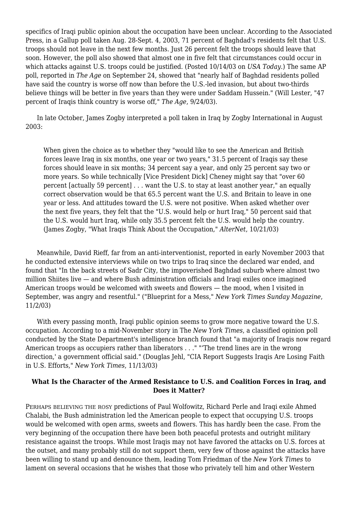specifics of Iraqi public opinion about the occupation have been unclear. According to the Associated Press, in a Gallup poll taken Aug. 28-Sept. 4, 2003, 71 percent of Baghdad's residents felt that U.S. troops should not leave in the next few months. Just 26 percent felt the troops should leave that soon. However, the poll also showed that almost one in five felt that circumstances could occur in which attacks against U.S. troops could be justified. (Posted 10/14/03 on *USA Today*.) The same AP poll, reported in *The Age* on September 24, showed that "nearly half of Baghdad residents polled have said the country is worse off now than before the U.S.-led invasion, but about two-thirds believe things will be better in five years than they were under Saddam Hussein." (Will Lester, "47 percent of Iraqis think country is worse off," *The Age*, 9/24/03).

 In late October, James Zogby interpreted a poll taken in Iraq by Zogby International in August 2003:

When given the choice as to whether they "would like to see the American and British forces leave Iraq in six months, one year or two years," 31.5 percent of Iraqis say these forces should leave in six months; 34 percent say a year, and only 25 percent say two or more years. So while technically [Vice President Dick] Cheney might say that "over 60 percent [actually 59 percent] . . . want the U.S. to stay at least another year," an equally correct observation would be that 65.5 percent want the U.S. and Britain to leave in one year or less. And attitudes toward the U.S. were not positive. When asked whether over the next five years, they felt that the "U.S. would help or hurt Iraq," 50 percent said that the U.S. would hurt Iraq, while only 35.5 percent felt the U.S. would help the country. (James Zogby, "What Iraqis Think About the Occupation," *AlterNet*, 10/21/03)

 Meanwhile, David Rieff, far from an anti-interventionist, reported in early November 2003 that he conducted extensive interviews while on two trips to Iraq since the declared war ended, and found that "In the back streets of Sadr City, the impoverished Baghdad suburb where almost two million Shiites live — and where Bush administration officials and Iraqi exiles once imagined American troops would be welcomed with sweets and flowers — the mood, when I visited in September, was angry and resentful." ("Blueprint for a Mess," *New York Times Sunday Magazine*, 11/2/03)

 With every passing month, Iraqi public opinion seems to grow more negative toward the U.S. occupation. According to a mid-November story in The *New York Times*, a classified opinion poll conducted by the State Department's intelligence branch found that "a majority of Iraqis now regard American troops as occupiers rather than liberators . . ." "'The trend lines are in the wrong direction,' a government official said." (Douglas Jehl, "CIA Report Suggests Iraqis Are Losing Faith in U.S. Efforts," *New York Times*, 11/13/03)

# **What Is the Character of the Armed Resistance to U.S. and Coalition Forces in Iraq, and Does it Matter?**

PERHAPS BELIEVING THE ROSY predictions of Paul Wolfowitz, Richard Perle and Iraqi exile Ahmed Chalabi, the Bush administration led the American people to expect that occupying U.S. troops would be welcomed with open arms, sweets and flowers. This has hardly been the case. From the very beginning of the occupation there have been both peaceful protests and outright military resistance against the troops. While most Iraqis may not have favored the attacks on U.S. forces at the outset, and many probably still do not support them, very few of those against the attacks have been willing to stand up and denounce them, leading Tom Friedman of the *New York Times* to lament on several occasions that he wishes that those who privately tell him and other Western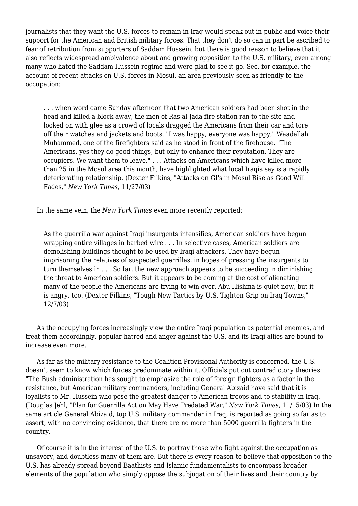journalists that they want the U.S. forces to remain in Iraq would speak out in public and voice their support for the American and British military forces. That they don't do so can in part be ascribed to fear of retribution from supporters of Saddam Hussein, but there is good reason to believe that it also reflects widespread ambivalence about and growing opposition to the U.S. military, even among many who hated the Saddam Hussein regime and were glad to see it go. See, for example, the account of recent attacks on U.S. forces in Mosul, an area previously seen as friendly to the occupation:

. . . when word came Sunday afternoon that two American soldiers had been shot in the head and killed a block away, the men of Ras al Jada fire station ran to the site and looked on with glee as a crowd of locals dragged the Americans from their car and tore off their watches and jackets and boots. "I was happy, everyone was happy," Waadallah Muhammed, one of the firefighters said as he stood in front of the firehouse. "The Americans, yes they do good things, but only to enhance their reputation. They are occupiers. We want them to leave." . . . Attacks on Americans which have killed more than 25 in the Mosul area this month, have highlighted what local Iraqis say is a rapidly deteriorating relationship. (Dexter Filkins, "Attacks on GI's in Mosul Rise as Good Will Fades," *New York Times*, 11/27/03)

In the same vein, the *New York Times* even more recently reported:

As the guerrilla war against Iraqi insurgents intensifies, American soldiers have begun wrapping entire villages in barbed wire . . . In selective cases, American soldiers are demolishing buildings thought to be used by Iraqi attackers. They have begun imprisoning the relatives of suspected guerrillas, in hopes of pressing the insurgents to turn themselves in . . . So far, the new approach appears to be succeeding in diminishing the threat to American soldiers. But it appears to be coming at the cost of alienating many of the people the Americans are trying to win over. Abu Hishma is quiet now, but it is angry, too. (Dexter Filkins, "Tough New Tactics by U.S. Tighten Grip on Iraq Towns," 12/7/03)

 As the occupying forces increasingly view the entire Iraqi population as potential enemies, and treat them accordingly, popular hatred and anger against the U.S. and its Iraqi allies are bound to increase even more.

 As far as the military resistance to the Coalition Provisional Authority is concerned, the U.S. doesn't seem to know which forces predominate within it. Officials put out contradictory theories: "The Bush administration has sought to emphasize the role of foreign fighters as a factor in the resistance, but American military commanders, including General Abizaid have said that it is loyalists to Mr. Hussein who pose the greatest danger to American troops and to stability in Iraq." (Douglas Jehl, "Plan for Guerrilla Action May Have Predated War," *New York Times*, 11/15/03) In the same article General Abizaid, top U.S. military commander in Iraq, is reported as going so far as to assert, with no convincing evidence, that there are no more than 5000 guerrilla fighters in the country.

 Of course it is in the interest of the U.S. to portray those who fight against the occupation as unsavory, and doubtless many of them are. But there is every reason to believe that opposition to the U.S. has already spread beyond Baathists and Islamic fundamentalists to encompass broader elements of the population who simply oppose the subjugation of their lives and their country by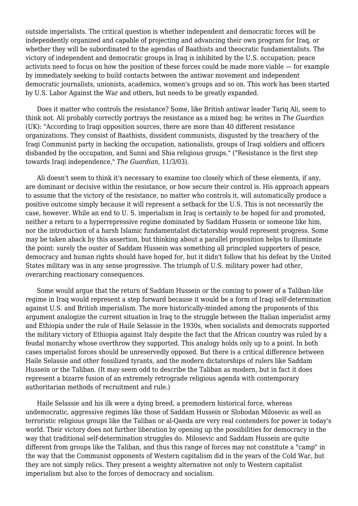outside imperialists. The critical question is whether independent and democratic forces will be independently organized and capable of projecting and advancing their own program for Iraq, or whether they will be subordinated to the agendas of Baathists and theocratic fundamentalists. The victory of independent and democratic groups in Iraq is inhibited by the U.S. occupation; peace activists need to focus on how the position of these forces could be made more viable — for example by immediately seeking to build contacts between the antiwar movement and independent democratic journalists, unionists, academics, women's groups and so on. This work has been started by U.S. Labor Against the War and others, but needs to be greatly expanded.

 Does it matter who controls the resistance? Some, like British antiwar leader Tariq Ali, seem to think not. Ali probably correctly portrays the resistance as a mixed bag; he writes in *The Guardian* (UK): "According to Iraqi opposition sources, there are more than 40 different resistance organizations. They consist of Baathists, dissident communists, disgusted by the treachery of the Iraqi Communist party in backing the occupation, nationalists, groups of Iraqi soldiers and officers disbanded by the occupation, and Sunni and Shia religious groups." ("Resistance is the first step towards Iraqi independence," *The Guardian*, 11/3/03).

 Ali doesn't seem to think it's necessary to examine too closely which of these elements, if any, are dominant or decisive within the resistance, or how secure their control is. His approach appears to assume that the victory of the resistance, no matter who controls it, will automatically produce a positive outcome simply because it will represent a setback for the U.S. This is not necessarily the case, however. While an end to U. S. imperialism in Iraq is certainly to be hoped for and promoted, neither a return to a hyperrepressive regime dominated by Saddam Hussein or someone like him, nor the introduction of a harsh Islamic fundamentalist dictatorship would represent progress. Some may be taken aback by this assertion, but thinking about a parallel proposition helps to illuminate the point: surely the ouster of Saddam Hussein was something all principled supporters of peace, democracy and human rights should have hoped for, but it didn't follow that his defeat by the United States military was in any sense progressive. The triumph of U.S. military power had other, overarching reactionary consequences.

 Some would argue that the return of Saddam Hussein or the coming to power of a Taliban-like regime in Iraq would represent a step forward because it would be a form of Iraqi self-determination against U.S. and British imperialism. The more historically-minded among the proponents of this argument analogize the current situation in Iraq to the struggle between the Italian imperialist army and Ethiopia under the rule of Haile Selassie in the 1930s, when socialists and democrats supported the military victory of Ethiopia against Italy despite the fact that the African country was ruled by a feudal monarchy whose overthrow they supported. This analogy holds only up to a point. In both cases imperialist forces should be unreservedly opposed. But there is a critical difference between Haile Selassie and other fossilized tyrants, and the modern dictatorships of rulers like Saddam Hussein or the Taliban. (It may seem odd to describe the Taliban as modern, but in fact it does represent a bizarre fusion of an extremely retrograde religious agenda with contemporary authoritarian methods of recruitment and rule.)

 Haile Selassie and his ilk were a dying breed, a premodern historical force, whereas undemocratic, aggressive regimes like those of Saddam Hussein or Slobodan Milosevic as well as terroristic religious groups like the Taliban or al-Qaeda are very real contenders for power in today's world. Their victory does not further liberation by opening up the possibilities for democracy in the way that traditional self-determination struggles do. Milosevic and Saddam Hussein are quite different from groups like the Taliban, and thus this range of forces may not constitute a "camp" in the way that the Communist opponents of Western capitalism did in the years of the Cold War, but they are not simply relics. They present a weighty alternative not only to Western capitalist imperialism but also to the forces of democracy and socialism.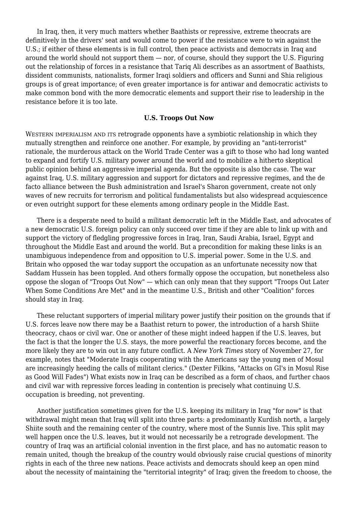In Iraq, then, it very much matters whether Baathists or repressive, extreme theocrats are definitively in the drivers' seat and would come to power if the resistance were to win against the U.S.; if either of these elements is in full control, then peace activists and democrats in Iraq and around the world should not support them — nor, of course, should they support the U.S. Figuring out the relationship of forces in a resistance that Tariq Ali describes as an assortment of Baathists, dissident communists, nationalists, former Iraqi soldiers and officers and Sunni and Shia religious groups is of great importance; of even greater importance is for antiwar and democratic activists to make common bond with the more democratic elements and support their rise to leadership in the resistance before it is too late.

## **U.S. Troops Out Now**

WESTERN IMPERIALISM AND ITS retrograde opponents have a symbiotic relationship in which they mutually strengthen and reinforce one another. For example, by providing an "anti-terrorist" rationale, the murderous attack on the World Trade Center was a gift to those who had long wanted to expand and fortify U.S. military power around the world and to mobilize a hitherto skeptical public opinion behind an aggressive imperial agenda. But the opposite is also the case. The war against Iraq, U.S. military aggression and support for dictators and repressive regimes, and the de facto alliance between the Bush administration and Israel's Sharon government, create not only waves of new recruits for terrorism and political fundamentalists but also widespread acquiescence or even outright support for these elements among ordinary people in the Middle East.

 There is a desperate need to build a militant democratic left in the Middle East, and advocates of a new democratic U.S. foreign policy can only succeed over time if they are able to link up with and support the victory of fledgling progressive forces in Iraq, Iran, Saudi Arabia, Israel, Egypt and throughout the Middle East and around the world. But a precondition for making these links is an unambiguous independence from and opposition to U.S. imperial power. Some in the U.S. and Britain who opposed the war today support the occupation as an unfortunate necessity now that Saddam Hussein has been toppled. And others formally oppose the occupation, but nonetheless also oppose the slogan of "Troops Out Now" — which can only mean that they support "Troops Out Later When Some Conditions Are Met" and in the meantime U.S., British and other "Coalition" forces should stay in Iraq.

 These reluctant supporters of imperial military power justify their position on the grounds that if U.S. forces leave now there may be a Baathist return to power, the introduction of a harsh Shiite theocracy, chaos or civil war. One or another of these might indeed happen if the U.S. leaves, but the fact is that the longer the U.S. stays, the more powerful the reactionary forces become, and the more likely they are to win out in any future conflict. A *New York Times* story of November 27, for example, notes that "Moderate Iraqis cooperating with the Americans say the young men of Mosul are increasingly heeding the calls of militant clerics." (Dexter Filkins, "Attacks on GI's in Mosul Rise as Good Will Fades") What exists now in Iraq can be described as a form of chaos, and further chaos and civil war with repressive forces leading in contention is precisely what continuing U.S. occupation is breeding, not preventing.

 Another justification sometimes given for the U.S. keeping its military in Iraq "for now" is that withdrawal might mean that Iraq will split into three parts: a predominantly Kurdish north, a largely Shiite south and the remaining center of the country, where most of the Sunnis live. This split may well happen once the U.S. leaves, but it would not necessarily be a retrograde development. The country of Iraq was an artificial colonial invention in the first place, and has no automatic reason to remain united, though the breakup of the country would obviously raise crucial questions of minority rights in each of the three new nations. Peace activists and democrats should keep an open mind about the necessity of maintaining the "territorial integrity" of Iraq; given the freedom to choose, the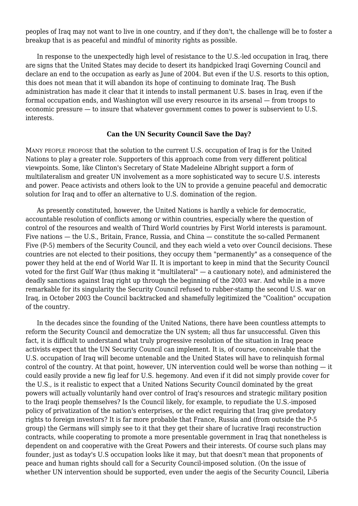peoples of Iraq may not want to live in one country, and if they don't, the challenge will be to foster a breakup that is as peaceful and mindful of minority rights as possible.

 In response to the unexpectedly high level of resistance to the U.S.-led occupation in Iraq, there are signs that the United States may decide to desert its handpicked Iraqi Governing Council and declare an end to the occupation as early as June of 2004. But even if the U.S. resorts to this option, this does not mean that it will abandon its hope of continuing to dominate Iraq. The Bush administration has made it clear that it intends to install permanent U.S. bases in Iraq, even if the formal occupation ends, and Washington will use every resource in its arsenal — from troops to economic pressure — to insure that whatever government comes to power is subservient to U.S. interests.

#### **Can the UN Security Council Save the Day?**

MANY PEOPLE PROPOSE that the solution to the current U.S. occupation of Iraq is for the United Nations to play a greater role. Supporters of this approach come from very different political viewpoints. Some, like Clinton's Secretary of State Madeleine Albright support a form of multilateralism and greater UN involvement as a more sophisticated way to secure U.S. interests and power. Peace activists and others look to the UN to provide a genuine peaceful and democratic solution for Iraq and to offer an alternative to U.S. domination of the region.

 As presently constituted, however, the United Nations is hardly a vehicle for democratic, accountable resolution of conflicts among or within countries, especially where the question of control of the resources and wealth of Third World countries by First World interests is paramount. Five nations — the U.S., Britain, France, Russia, and China — constitute the so-called Permanent Five (P-5) members of the Security Council, and they each wield a veto over Council decisions. These countries are not elected to their positions, they occupy them "permanently" as a consequence of the power they held at the end of World War II. It is important to keep in mind that the Security Council voted for the first Gulf War (thus making it "multilateral" — a cautionary note), and administered the deadly sanctions against Iraq right up through the beginning of the 2003 war. And while in a move remarkable for its singularity the Security Council refused to rubber-stamp the second U.S. war on Iraq, in October 2003 the Council backtracked and shamefully legitimized the "Coalition" occupation of the country.

 In the decades since the founding of the United Nations, there have been countless attempts to reform the Security Council and democratize the UN system; all thus far unsuccessful. Given this fact, it is difficult to understand what truly progressive resolution of the situation in Iraq peace activists expect that the UN Security Council can implement. It is, of course, conceivable that the U.S. occupation of Iraq will become untenable and the United States will have to relinquish formal control of the country. At that point, however, UN intervention could well be worse than nothing  $-$  it could easily provide a new fig leaf for U.S. hegemony. And even if it did not simply provide cover for the U.S., is it realistic to expect that a United Nations Security Council dominated by the great powers will actually voluntarily hand over control of Iraq's resources and strategic military position to the Iraqi people themselves? Is the Council likely, for example, to repudiate the U.S.-imposed policy of privatization of the nation's enterprises, or the edict requiring that Iraq give predatory rights to foreign investors? It is far more probable that France, Russia and (from outside the P-5 group) the Germans will simply see to it that they get their share of lucrative Iraqi reconstruction contracts, while cooperating to promote a more presentable government in Iraq that nonetheless is dependent on and cooperative with the Great Powers and their interests. Of course such plans may founder, just as today's U.S occupation looks like it may, but that doesn't mean that proponents of peace and human rights should call for a Security Council-imposed solution. (On the issue of whether UN intervention should be supported, even under the aegis of the Security Council, Liberia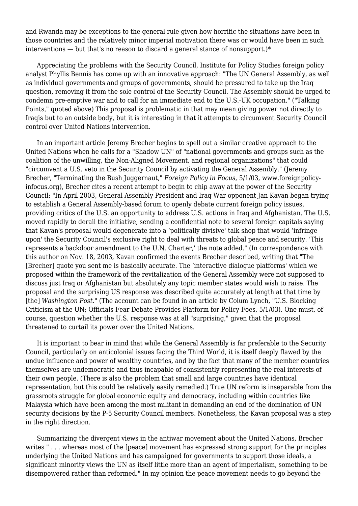and Rwanda may be exceptions to the general rule given how horrific the situations have been in those countries and the relatively minor imperial motivation there was or would have been in such interventions  $-$  but that's no reason to discard a general stance of nonsupport.)\*

 Appreciating the problems with the Security Council, Institute for Policy Studies foreign policy analyst Phyllis Bennis has come up with an innovative approach: "The UN General Assembly, as well as individual governments and groups of governments, should be pressured to take up the Iraq question, removing it from the sole control of the Security Council. The Assembly should be urged to condemn pre-emptive war and to call for an immediate end to the U.S.-UK occupation." ("Talking Points," quoted above) This proposal is problematic in that may mean giving power not directly to Iraqis but to an outside body, but it is interesting in that it attempts to circumvent Security Council control over United Nations intervention.

 In an important article Jeremy Brecher begins to spell out a similar creative approach to the United Nations when he calls for a "Shadow UN" of "national governments and groups such as the coalition of the unwilling, the Non-Aligned Movement, and regional organizations" that could "circumvent a U.S. veto in the Security Council by activating the General Assembly." (Jeremy Brecher, "Terminating the Bush Juggernaut," *Foreign Policy in Focus*, 5/1/03, www.foreignpolicyinfocus.org), Brecher cites a recent attempt to begin to chip away at the power of the Security Council: "In April 2003, General Assembly President and Iraq War opponent Jan Kavan began trying to establish a General Assembly-based forum to openly debate current foreign policy issues, providing critics of the U.S. an opportunity to address U.S. actions in Iraq and Afghanistan. The U.S. moved rapidly to derail the initiative, sending a confidential note to several foreign capitals saying that Kavan's proposal would degenerate into a 'politically divisive' talk shop that would 'infringe upon' the Security Council's exclusive right to deal with threats to global peace and security. 'This represents a backdoor amendment to the U.N. Charter,' the note added." (In correspondence with this author on Nov. 18, 2003, Kavan confirmed the events Brecher described, writing that "The [Brecher] quote you sent me is basically accurate. The 'interactive dialogue platforms' which we proposed within the framework of the revitalization of the General Assembly were not supposed to discuss just Iraq or Afghanistan but absolutely any topic member states would wish to raise. The proposal and the surprising US response was described quite accurately at length at that time by [the] *Washington Post*." (The account can be found in an article by Colum Lynch, "U.S. Blocking Criticism at the UN; Officials Fear Debate Provides Platform for Policy Foes, 5/1/03). One must, of course, question whether the U.S. response was at all "surprising," given that the proposal threatened to curtail its power over the United Nations.

 It is important to bear in mind that while the General Assembly is far preferable to the Security Council, particularly on anticolonial issues facing the Third World, it is itself deeply flawed by the undue influence and power of wealthy countries, and by the fact that many of the member countries themselves are undemocratic and thus incapable of consistently representing the real interests of their own people. (There is also the problem that small and large countries have identical representation, but this could be relatively easily remedied.) True UN reform is inseparable from the grassroots struggle for global economic equity and democracy, including within countries like Malaysia which have been among the most militant in demanding an end of the domination of UN security decisions by the P-5 Security Council members. Nonetheless, the Kavan proposal was a step in the right direction.

 Summarizing the divergent views in the antiwar movement about the United Nations, Brecher writes "... whereas most of the [peace] movement has expressed strong support for the principles underlying the United Nations and has campaigned for governments to support those ideals, a significant minority views the UN as itself little more than an agent of imperialism, something to be disempowered rather than reformed." In my opinion the peace movement needs to go beyond the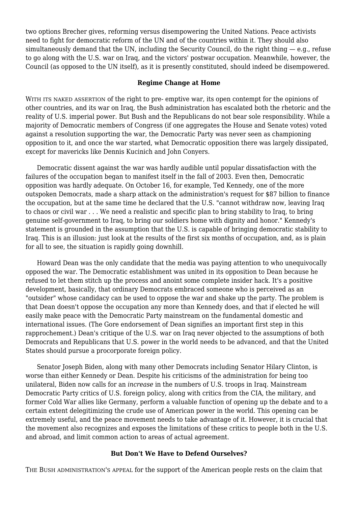two options Brecher gives, reforming versus disempowering the United Nations. Peace activists need to fight for democratic reform of the UN and of the countries within it. They should also simultaneously demand that the UN, including the Security Council, do the right thing  $-$  e.g., refuse to go along with the U.S. war on Iraq, and the victors' postwar occupation. Meanwhile, however, the Council (as opposed to the UN itself), as it is presently constituted, should indeed be disempowered.

## **Regime Change at Home**

WITH ITS NAKED ASSERTION of the right to pre- emptive war, its open contempt for the opinions of other countries, and its war on Iraq, the Bush administration has escalated both the rhetoric and the reality of U.S. imperial power. But Bush and the Republicans do not bear sole responsibility. While a majority of Democratic members of Congress (if one aggregates the House and Senate votes) voted against a resolution supporting the war, the Democratic Party was never seen as championing opposition to it, and once the war started, what Democratic opposition there was largely dissipated, except for mavericks like Dennis Kucinich and John Conyers.

 Democratic dissent against the war was hardly audible until popular dissatisfaction with the failures of the occupation began to manifest itself in the fall of 2003. Even then, Democratic opposition was hardly adequate. On October 16, for example, Ted Kennedy, one of the more outspoken Democrats, made a sharp attack on the administration's request for \$87 billion to finance the occupation, but at the same time he declared that the U.S. "cannot withdraw now, leaving Iraq to chaos or civil war . . . We need a realistic and specific plan to bring stability to Iraq, to bring genuine self-government to Iraq, to bring our soldiers home with dignity and honor." Kennedy's statement is grounded in the assumption that the U.S. is capable of bringing democratic stability to Iraq. This is an illusion: just look at the results of the first six months of occupation, and, as is plain for all to see, the situation is rapidly going downhill.

 Howard Dean was the only candidate that the media was paying attention to who unequivocally opposed the war. The Democratic establishment was united in its opposition to Dean because he refused to let them stitch up the process and anoint some complete insider hack. It's a positive development, basically, that ordinary Democrats embraced someone who is perceived as an "outsider" whose candidacy can be used to oppose the war and shake up the party. The problem is that Dean doesn't oppose the occupation any more than Kennedy does, and that if elected he will easily make peace with the Democratic Party mainstream on the fundamental domestic and international issues. (The Gore endorsement of Dean signifies an important first step in this rapprochement.) Dean's critique of the U.S. war on Iraq never objected to the assumptions of both Democrats and Republicans that U.S. power in the world needs to be advanced, and that the United States should pursue a procorporate foreign policy.

 Senator Joseph Biden, along with many other Democrats including Senator Hilary Clinton, is worse than either Kennedy or Dean. Despite his criticisms of the administration for being too unilateral, Biden now calls for an *increase* in the numbers of U.S. troops in Iraq. Mainstream Democratic Party critics of U.S. foreign policy, along with critics from the CIA, the military, and former Cold War allies like Germany, perform a valuable function of opening up the debate and to a certain extent delegitimizing the crude use of American power in the world. This opening can be extremely useful, and the peace movement needs to take advantage of it. However, it is crucial that the movement also recognizes and exposes the limitations of these critics to people both in the U.S. and abroad, and limit common action to areas of actual agreement.

#### **But Don't We Have to Defend Ourselves?**

THE BUSH ADMINISTRATION'S APPEAL for the support of the American people rests on the claim that